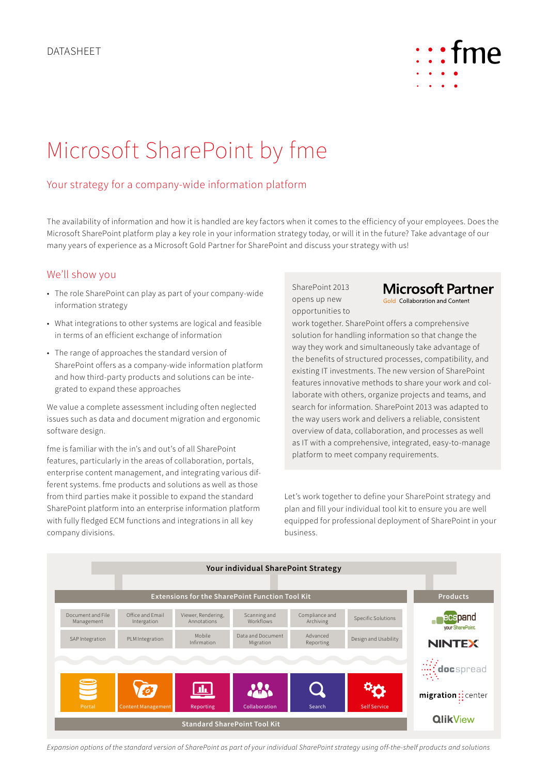

# Microsoft SharePoint by fme

## Your strategy for a company-wide information platform

The availability of information and how it is handled are key factors when it comes to the efficiency of your employees. Does the Microsoft SharePoint platform play a key role in your information strategy today, or will it in the future? Take advantage of our many years of experience as a Microsoft Gold Partner for SharePoint and discuss your strategy with us!

#### We'll show you

- The role SharePoint can play as part of your company-wide information strategy
- What integrations to other systems are logical and feasible in terms of an efficient exchange of information
- The range of approaches the standard version of SharePoint offers as a company-wide information platform and how third-party products and solutions can be integrated to expand these approaches

We value a complete assessment including often neglected issues such as data and document migration and ergonomic software design.

fme is familiar with the in's and out's of all SharePoint features, particularly in the areas of collaboration, portals, enterprise content management, and integrating various different systems. fme products and solutions as well as those from third parties make it possible to expand the standard SharePoint platform into an enterprise information platform with fully fledged ECM functions and integrations in all key company divisions.

SharePoint 2013 opens up new opportunities to

# **Microsoft Partner**

Gold Collaboration and Content

work together. SharePoint offers a comprehensive solution for handling information so that change the way they work and simultaneously take advantage of the benefits of structured processes, compatibility, and existing IT investments. The new version of SharePoint features innovative methods to share your work and collaborate with others, organize projects and teams, and search for information. SharePoint 2013 was adapted to the way users work and delivers a reliable, consistent overview of data, collaboration, and processes as well as IT with a comprehensive, integrated, easy-to-manage platform to meet company requirements.

Let's work together to define your SharePoint strategy and plan and fill your individual tool kit to ensure you are well equipped for professional deployment of SharePoint in your business.



*Expansion options of the standard version of SharePoint as part of your individual SharePoint strategy using off-the-shelf products and solutions*